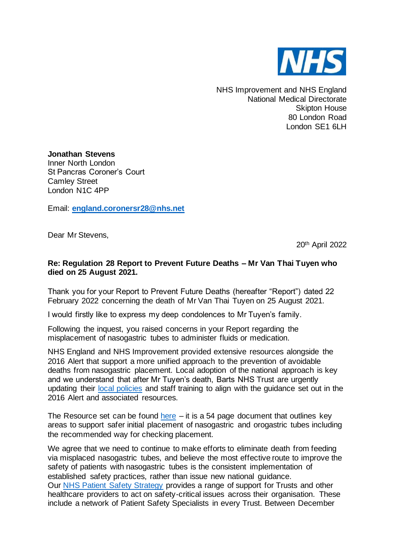

NHS Improvement and NHS England National Medical Directorate Skipton House 80 London Road London SE1 6LH

**Jonathan Stevens** Inner North London St Pancras Coroner's Court Camley Street London N1C 4PP

Email: **[england.coronersr28@nhs.net](mailto:england.coronersr28@nhs.net)**

Dear Mr Stevens,

20th April 2022

## **Re: Regulation 28 Report to Prevent Future Deaths – Mr Van Thai Tuyen who died on 25 August 2021.**

Thank you for your Report to Prevent Future Deaths (hereafter "Report") dated 22 February 2022 concerning the death of Mr Van Thai Tuyen on 25 August 2021.

I would firstly like to express my deep condolences to Mr Tuyen's family.

Following the inquest, you raised concerns in your Report regarding the misplacement of nasogastric tubes to administer fluids or medication.

NHS England and NHS Improvement provided extensive resources alongside the 2016 Alert that support a more unified approach to the prevention of avoidable deaths from nasogastric placement. Local adoption of the national approach is key and we understand that after Mr Tuyen's death, Barts NHS Trust are urgently updating their [local policies](https://education.bartshealth.nhs.uk/eLearning/Nazogastric_updated/Naso-oro-Gastric-Tubes,-Adult%20Oct%2015.pdf) and staff training to align with the guidance set out in the 2016 Alert and associated resources.

The Resource set can be found [here](https://www.england.nhs.uk/publication/patient-safety-alert-nasogastric-tube-misplacement-continuing-risk-of-death-and-severe-harm/)  $-$  it is a 54 page document that outlines key areas to support safer initial placement of nasogastric and orogastric tubes including the recommended way for checking placement.

We agree that we need to continue to make efforts to eliminate death from feeding via misplaced nasogastric tubes, and believe the most effective route to improve the safety of patients with nasogastric tubes is the consistent implementation of established safety practices, rather than issue new national guidance. Our [NHS Patient Safety Strategy](https://www.england.nhs.uk/patient-safety/the-nhs-patient-safety-strategy/) provides a range of support for Trusts and other healthcare providers to act on safety-critical issues across their organisation. These include a network of Patient Safety Specialists in every Trust. Between December